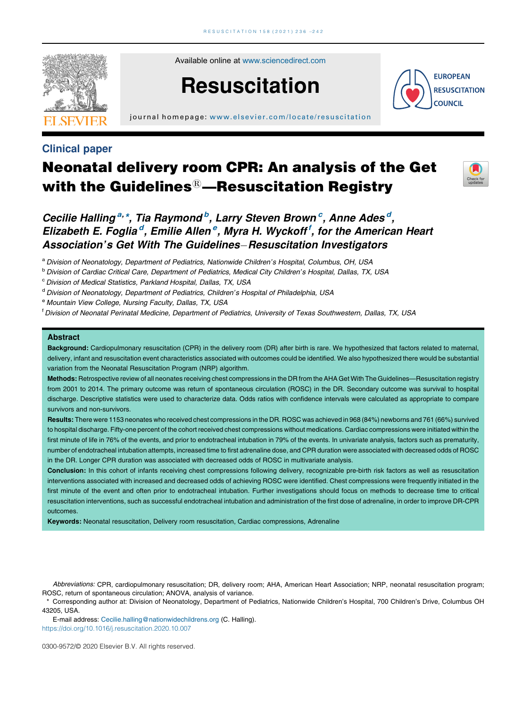

Available online at [www.sciencedirect.com](http://www.sciencedirect.com/science/journal/03009572)

# Resuscitation

journal homepage: www.elsevier.com/locate/resuscitation

**EUROPEAN RESUSCITATION COUNCIL** 

## Clinical paper

## Neonatal delivery room CPR: An analysis of the Get with the Guidelines $@$ —Resuscitation Registry



Cecilie Halling<sup>a,\*</sup>, Tia Raymond<sup>b</sup>, Larry Steven Brown<sup>c</sup>, Anne Ades<sup>d</sup>, Elizabeth E. Foglia<sup>d</sup>, Emilie Allen<sup>e</sup>, Myra H. Wyckoff<sup>f</sup>, for the American Hearl Association's Get With The Guidelines-Resuscitation Investigators

a Division of Neonatology, Department of Pediatrics, Nationwide Children's Hospital, Columbus, OH, USA

<sup>b</sup> Division of Cardiac Critical Care, Department of Pediatrics, Medical City Children's Hospital, Dallas, TX, USA

<sup>c</sup> Division of Medical Statistics, Parkland Hospital, Dallas, TX, USA

<sup>d</sup> Division of Neonatology, Department of Pediatrics, Children's Hospital of Philadelphia, USA

<sup>e</sup> Mountain View College, Nursing Faculty, Dallas, TX, USA

<sup>t</sup> Division of Neonatal Perinatal Medicine, Department of Pediatrics, University of Texas Southwestern, Dallas, TX, USA

#### **Abstract**

Background: Cardiopulmonary resuscitation (CPR) in the delivery room (DR) after birth is rare. We hypothesized that factors related to maternal, delivery, infant and resuscitation event characteristics associated with outcomes could be identified. We also hypothesized there would be substantial variation from the Neonatal Resuscitation Program (NRP) algorithm.

Methods: Retrospective review of all neonates receiving chest compressions in the DR from the AHA Get With The Guidelines—Resuscitation registry from 2001 to 2014. The primary outcome was return of spontaneous circulation (ROSC) in the DR. Secondary outcome was survival to hospital discharge. Descriptive statistics were used to characterize data. Odds ratios with confidence intervals were calculated as appropriate to compare survivors and non-survivors.

Results: There were 1153 neonates who received chest compressions in the DR. ROSC was achieved in 968 (84%) newborns and 761 (66%) survived to hospital discharge. Fifty-one percent of the cohort received chest compressions without medications. Cardiac compressions were initiated within the first minute of life in 76% of the events, and prior to endotracheal intubation in 79% of the events. In univariate analysis, factors such as prematurity, number of endotracheal intubation attempts, increased time to first adrenaline dose, and CPR duration were associated with decreased odds of ROSC in the DR. Longer CPR duration was associated with decreased odds of ROSC in multivariate analysis.

Conclusion: In this cohort of infants receiving chest compressions following delivery, recognizable pre-birth risk factors as well as resuscitation interventions associated with increased and decreased odds of achieving ROSC were identified. Chest compressions were frequently initiated in the first minute of the event and often prior to endotracheal intubation. Further investigations should focus on methods to decrease time to critical resuscitation interventions, such as successful endotracheal intubation and administration of the first dose of adrenaline, in order to improve DR-CPR outcomes.

Keywords: Neonatal resuscitation, Delivery room resuscitation, Cardiac compressions, Adrenaline

Abbreviations: CPR, cardiopulmonary resuscitation; DR, delivery room; AHA, American Heart Association; NRP, neonatal resuscitation program; ROSC, return of spontaneous circulation; ANOVA, analysis of variance.

\* Corresponding author at: Division of Neonatology, Department of Pediatrics, Nationwide Children's Hospital, 700 Children's Drive, Columbus OH 43205, USA.

E-mail address: [Cecilie.halling@nationwidechildrens.org](mailto:Cecilie.halling@nationwidechildrens.org) (C. Halling).

<https://doi.org/10.1016/j.resuscitation.2020.10.007>

0300-9572/© 2020 Elsevier B.V. All rights reserved.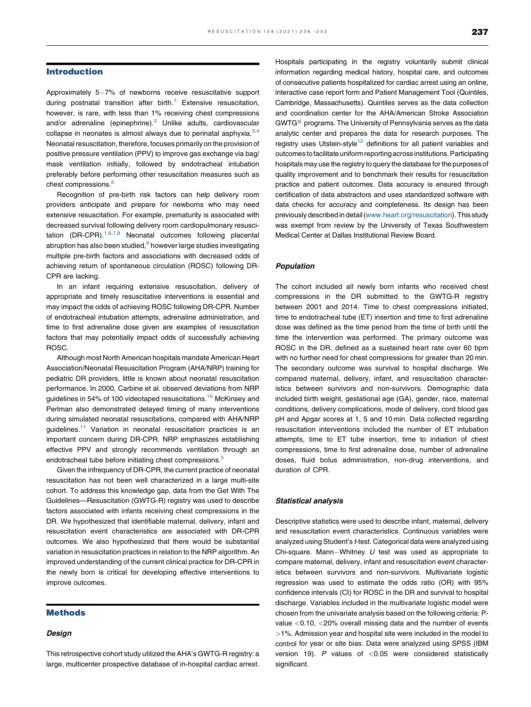#### Introduction

Approximately 5-7% of newborns receive resuscitative support during postnatal transition after birth.<sup>[1](#page-6-0)</sup> Extensive resuscitation, however, is rare, with less than 1% receiving chest compressions and/or adrenaline (epinephrine). $2$  Unlike adults, cardiovascular collapse in neonates is almost always due to perinatal asphyxia. $3,4$ Neonatal resuscitation, therefore, focuses primarily on the provision of positive pressure ventilation (PPV) to improve gas exchange via bag/ mask ventilation initially, followed by endotracheal intubation preferably before performing other resuscitation measures such as chest compressions.<sup>[5](#page-6-0)</sup>

Recognition of pre-birth risk factors can help delivery room providers anticipate and prepare for newborns who may need extensive resuscitation. For example, prematurity is associated with decreased survival following delivery room cardiopulmonary resuscitation  $(DR-CPR)$ <sup>1,6,7,8</sup> Neonatal [outcomes](#page-6-0) following placental abruption has also been studied, $9$  however large studies investigating multiple pre-birth factors and associations with decreased odds of achieving return of spontaneous circulation (ROSC) following DR-CPR are lacking.

In an infant requiring extensive resuscitation, delivery of appropriate and timely resuscitative interventions is essential and may impact the odds of achieving ROSC following DR-CPR. Number of endotracheal intubation attempts, adrenaline administration, and time to first adrenaline dose given are examples of resuscitation factors that may potentially impact odds of successfully achieving ROSC.

Although most North American hospitals mandate American Heart Association/Neonatal Resuscitation Program (AHA/NRP) training for pediatric DR providers, little is known about neonatal resuscitation performance. In 2000, Carbine et al. observed deviations from NRP guidelines in 54% of 100 videotaped resuscitations[.10](#page-6-0) McKinsey and Perlman also demonstrated delayed timing of many interventions during simulated neonatal resuscitations, compared with AHA/NRP guidelines.<sup>[11](#page-6-0)</sup> Variation in neonatal resuscitation practices is an important concern during DR-CPR. NRP emphasizes establishing effective PPV and strongly recommends ventilation through an endotracheal tube before initiating chest compressions.<sup>[5](#page-6-0)</sup>

Given the infrequency of DR-CPR, the current practice of neonatal resuscitation has not been well characterized in a large multi-site cohort. To address this knowledge gap, data from the Get With The Guidelines—Resuscitation (GWTG-R) registry was used to describe factors associated with infants receiving chest compressions in the DR. We hypothesized that identifiable maternal, delivery, infant and resuscitation event characteristics are associated with DR-CPR outcomes. We also hypothesized that there would be substantial variation in resuscitation practices in relation to the NRP algorithm. An improved understanding of the current clinical practice for DR-CPR in the newly born is critical for developing effective interventions to improve outcomes.

#### Methods

#### Design

This retrospective cohort study utilized the AHA's GWTG-R registry: a large, multicenter prospective database of in-hospital cardiac arrest. Hospitals participating in the registry voluntarily submit clinical information regarding medical history, hospital care, and outcomes of consecutive patients hospitalized for cardiac arrest using an online, interactive case report form and Patient Management Tool (Quintiles, Cambridge, Massachusetts). Quintiles serves as the data collection and coordination center for the AHA/American Stroke Association  $GWTG^{\circledR}$  programs. The University of Pennsylvania serves as the data analytic center and prepares the data for research purposes. The registry uses Utstein-style<sup>[12](#page-6-0)</sup> definitions for all patient variables and outcomes to facilitate uniform reporting across institutions. Participating hospitals may use the registry to query the database forthe purposes of quality improvement and to benchmark their results for resuscitation practice and patient outcomes. Data accuracy is ensured through certification of data abstractors and uses standardized software with data checks for accuracy and completeness. Its design has been previouslydescribedin detail[\(www.heart.org/resuscitation](http://www.heart.org/resuscitation)).This study was exempt from review by the University of Texas Southwestern Medical Center at Dallas Institutional Review Board.

#### Population

The cohort included all newly born infants who received chest compressions in the DR submitted to the GWTG-R registry between 2001 and 2014. Time to chest compressions initiated, time to endotracheal tube (ET) insertion and time to first adrenaline dose was defined as the time period from the time of birth until the time the intervention was performed. The primary outcome was ROSC in the DR, defined as a sustained heart rate over 60 bpm with no further need for chest compressions for greater than 20 min. The secondary outcome was survival to hospital discharge. We compared maternal, delivery, infant, and resuscitation characteristics between survivors and non-survivors. Demographic data included birth weight, gestational age (GA), gender, race, maternal conditions, delivery complications, mode of delivery, cord blood gas pH and Apgar scores at 1, 5 and 10 min. Data collected regarding resuscitation interventions included the number of ET intubation attempts, time to ET tube insertion, time to initiation of chest compressions, time to first adrenaline dose, number of adrenaline doses, fluid bolus administration, non-drug interventions, and duration of CPR.

#### Statistical analysis

Descriptive statistics were used to describe infant, maternal, delivery and resuscitation event characteristics. Continuous variables were analyzed using Student's t-test. Categorical data were analyzed using Chi-square. Mann-Whitney  $U$  test was used as appropriate to compare maternal, delivery, infant and resuscitation event characteristics between survivors and non-survivors. Multivariate logistic regression was used to estimate the odds ratio (OR) with 95% confidence intervals (CI) for ROSC in the DR and survival to hospital discharge. Variables included in the multivariate logistic model were chosen from the univariate analysis based on the following criteria: Pvalue <0.10, <20% overall missing data and the number of events >1%. Admission year and hospital site were included in the model to control for year or site bias. Data were analyzed using SPSS (IBM version 19).  $P$  values of  $<$  0.05 were considered statistically significant.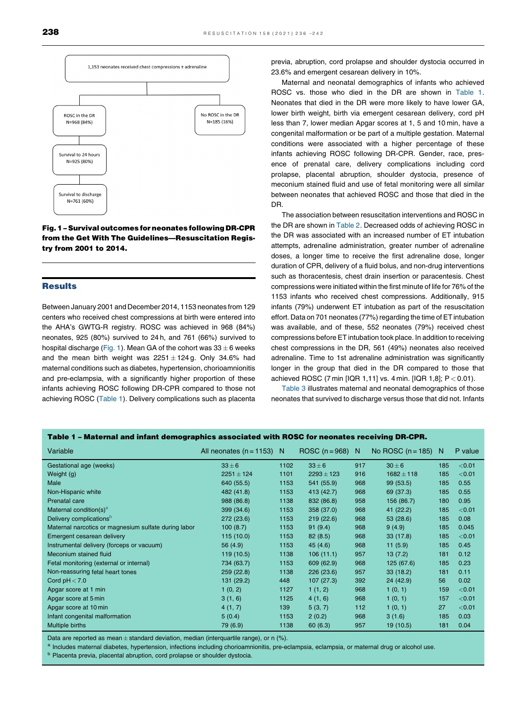

Fig.1– Survivaloutcomes for neonates following DR-CPR from the Get With The Guidelines—Resuscitation Registry from 2001 to 2014.

#### Results

Between January 2001 and December 2014, 1153 neonates from 129 centers who received chest compressions at birth were entered into the AHA's GWTG-R registry. ROSC was achieved in 968 (84%) neonates, 925 (80%) survived to 24 h, and 761 (66%) survived to hospital discharge (Fig. 1). Mean GA of the cohort was  $33 \pm 6$  weeks and the mean birth weight was  $2251 \pm 124$  g. Only 34.6% had maternal conditions such as diabetes, hypertension, chorioamnionitis and pre-eclampsia, with a significantly higher proportion of these infants achieving ROSC following DR-CPR compared to those not achieving ROSC (Table 1). Delivery complications such as placenta

previa, abruption, cord prolapse and shoulder dystocia occurred in 23.6% and emergent cesarean delivery in 10%.

Maternal and neonatal demographics of infants who achieved ROSC vs. those who died in the DR are shown in Table 1. Neonates that died in the DR were more likely to have lower GA, lower birth weight, birth via emergent cesarean delivery, cord pH less than 7, lower median Apgar scores at 1, 5 and 10 min, have a congenital malformation or be part of a multiple gestation. Maternal conditions were associated with a higher percentage of these infants achieving ROSC following DR-CPR. Gender, race, presence of prenatal care, delivery complications including cord prolapse, placental abruption, shoulder dystocia, presence of meconium stained fluid and use of fetal monitoring were all similar between neonates that achieved ROSC and those that died in the DR.

The association between resuscitation interventions and ROSC in the DR are shown in [Table](#page-3-0) 2. Decreased odds of achieving ROSC in the DR was associated with an increased number of ET intubation attempts, adrenaline administration, greater number of adrenaline doses, a longer time to receive the first adrenaline dose, longer duration of CPR, delivery of a fluid bolus, and non-drug interventions such as thoracentesis, chest drain insertion or paracentesis. Chest compressions were initiated within the first minute of life for 76% of the 1153 infants who received chest compressions. Additionally, 915 infants (79%) underwent ET intubation as part of the resuscitation effort. Data on 701 neonates (77%) regarding the time of ET intubation was available, and of these, 552 neonates (79%) received chest compressions before ET intubation took place. In addition to receiving chest compressions in the DR, 561 (49%) neonates also received adrenaline. Time to 1st adrenaline administration was significantly longer in the group that died in the DR compared to those that achieved ROSC (7 min [IQR 1,11] vs. 4 min. [IQR 1,8]; P < 0.01).

[Table](#page-3-0) 3 illustrates maternal and neonatal demographics of those neonates that survived to discharge versus those that did not. Infants

| Table 1 - Maternal and infant demographics associated with ROSC for neonates receiving DR-CPR. |                             |      |                  |     |                       |     |         |
|------------------------------------------------------------------------------------------------|-----------------------------|------|------------------|-----|-----------------------|-----|---------|
| Variable                                                                                       | All neonates $(n = 1153)$ N |      | ROSC $(n=968)$ N |     | No ROSC $(n = 185)$ N |     | P value |
| Gestational age (weeks)                                                                        | $33 \pm 6$                  | 1102 | $33 \pm 6$       | 917 | $30 \pm 6$            | 185 | < 0.01  |
| Weight (g)                                                                                     | $2251 \pm 124$              | 1101 | $2293 \pm 123$   | 916 | $1682 \pm 118$        | 185 | < 0.01  |
| Male                                                                                           | 640 (55.5)                  | 1153 | 541 (55.9)       | 968 | 99 (53.5)             | 185 | 0.55    |
| Non-Hispanic white                                                                             | 482 (41.8)                  | 1153 | 413 (42.7)       | 968 | 69 (37.3)             | 185 | 0.55    |
| Prenatal care                                                                                  | 988 (86.8)                  | 1138 | 832 (86.8)       | 958 | 156 (86.7)            | 180 | 0.95    |
| Maternal condition(s) <sup>a</sup>                                                             | 399 (34.6)                  | 1153 | 358 (37.0)       | 968 | 41 (22.2)             | 185 | < 0.01  |
| Delivery complications <sup>b</sup>                                                            | 272 (23.6)                  | 1153 | 219(22.6)        | 968 | 53(28.6)              | 185 | 0.08    |
| Maternal narcotics or magnesium sulfate during labor                                           | 100(8.7)                    | 1153 | 91(9.4)          | 968 | 9(4.9)                | 185 | 0.045   |
| Emergent cesarean delivery                                                                     | 115(10.0)                   | 1153 | 82(8.5)          | 968 | 33(17.8)              | 185 | < 0.01  |
| Instrumental delivery (forceps or vacuum)                                                      | 56(4.9)                     | 1153 | 45(4.6)          | 968 | 11(5.9)               | 185 | 0.45    |
| Meconium stained fluid                                                                         | 119 (10.5)                  | 1138 | 106(11.1)        | 957 | 13(7.2)               | 181 | 0.12    |
| Fetal monitoring (external or internal)                                                        | 734 (63.7)                  | 1153 | 609 (62.9)       | 968 | 125 (67.6)            | 185 | 0.23    |
| Non-reassuring fetal heart tones                                                               | 259(22.8)                   | 1138 | 226(23.6)        | 957 | 33(18.2)              | 181 | 0.11    |
| Cord $pH < 7.0$                                                                                | 131 (29.2)                  | 448  | 107(27.3)        | 392 | 24(42.9)              | 56  | 0.02    |
| Apgar score at 1 min                                                                           | 1(0, 2)                     | 1127 | 1(1, 2)          | 968 | 1(0, 1)               | 159 | < 0.01  |
| Apgar score at 5 min                                                                           | 3(1, 6)                     | 1125 | 4(1, 6)          | 968 | 1(0, 1)               | 157 | < 0.01  |
| Apgar score at 10 min                                                                          | 4(1, 7)                     | 139  | 5(3, 7)          | 112 | 1(0, 1)               | 27  | < 0.01  |
| Infant congenital malformation                                                                 | 5(0.4)                      | 1153 | 2(0.2)           | 968 | 3(1.6)                | 185 | 0.03    |
| Multiple births                                                                                | 79 (6.9)                    | 1138 | 60(6.3)          | 957 | 19(10.5)              | 181 | 0.04    |

Data are reported as mean ± standard deviation, median (interquartile range), or n (%).<br><sup>a</sup> Includes maternal diabetes, hypertension, infections including chorioamnionitis, pre-eclampsia, eclampsia, or maternal drug or alc

**b** Placenta previa, placental abruption, cord prolapse or shoulder dystocia.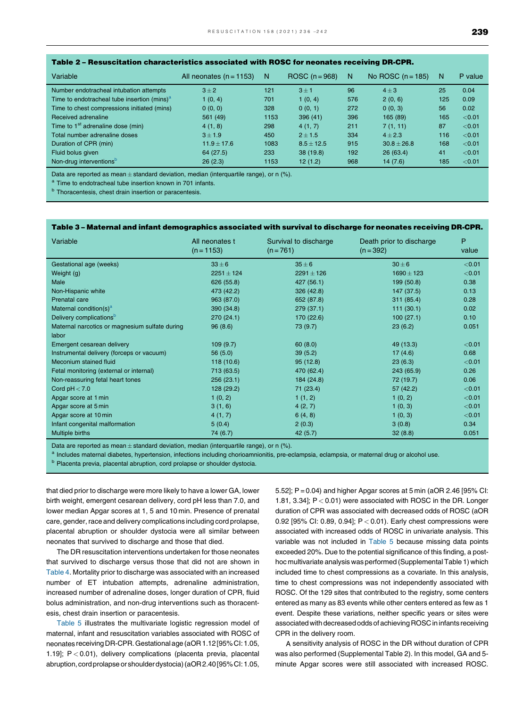<span id="page-3-0"></span>

| Table 2 - Resuscitation characteristics associated with ROSC for neonates receiving DR-CPR. |  |
|---------------------------------------------------------------------------------------------|--|
|---------------------------------------------------------------------------------------------|--|

| Variable                                                | All neonates $(n = 1153)$ | $\mathbb N$ | ROSC $(n=968)$ | N   | No ROSC $(n = 185)$ | N   | P value |
|---------------------------------------------------------|---------------------------|-------------|----------------|-----|---------------------|-----|---------|
| Number endotracheal intubation attempts                 | $3 \pm 2$                 | 121         | $3 + 1$        | 96  | $4\pm3$             | 25  | 0.04    |
| Time to endotracheal tube insertion (mins) <sup>a</sup> | 1(0, 4)                   | 701         | 1(0, 4)        | 576 | 2(0, 6)             | 125 | 0.09    |
| Time to chest compressions initiated (mins)             | 0(0, 0)                   | 328         | 0(0, 1)        | 272 | 0(0, 3)             | 56  | 0.02    |
| Received adrenaline                                     | 561 (49)                  | 1153        | 396(41)        | 396 | 165 (89)            | 165 | < 0.01  |
| Time to 1 <sup>st</sup> adrenaline dose (min)           | 4(1, 8)                   | 298         | 4(1, 7)        | 211 | 7(1, 11)            | 87  | < 0.01  |
| Total number adrenaline doses                           | $3 + 1.9$                 | 450         | $2 + 1.5$      | 334 | $4 + 2.3$           | 116 | < 0.01  |
| Duration of CPR (min)                                   | $11.9 \pm 17.6$           | 1083        | $8.5 \pm 12.5$ | 915 | $30.8 + 26.8$       | 168 | < 0.01  |
| Fluid bolus given                                       | 64 (27.5)                 | 233         | 38(19.8)       | 192 | 26(63.4)            | 41  | < 0.01  |
| Non-drug interventions <sup>b</sup>                     | 26(2.3)                   | 1153        | 12(1.2)        | 968 | 14(7.6)             | 185 | < 0.01  |

Data are reported as mean  $\pm$  standard deviation, median (interquartile range), or n (%). a Time to endotracheal tube insertion known in 701 infants.

**b** Thoracentesis, chest drain insertion or paracentesis.

#### Table 3 – Maternal and infant demographics associated with survival to discharge for neonates receiving DR-CPR.

| Variable                                       | All neonates t<br>$(n = 1153)$ | Survival to discharge<br>$(n = 761)$ | Death prior to discharge<br>$(n = 392)$ | P<br>value |
|------------------------------------------------|--------------------------------|--------------------------------------|-----------------------------------------|------------|
| Gestational age (weeks)                        | $33 \pm 6$                     | $35 \pm 6$                           | $30 \pm 6$                              | < 0.01     |
| Weight (g)                                     | $2251 \pm 124$                 | $2291 \pm 126$                       | $1690 \pm 123$                          | < 0.01     |
| Male                                           | 626 (55.8)                     | 427 (56.1)                           | 199 (50.8)                              | 0.38       |
| Non-Hispanic white                             | 473 (42.2)                     | 326(42.8)                            | 147 (37.5)                              | 0.13       |
| <b>Prenatal care</b>                           | 963 (87.0)                     | 652 (87.8)                           | 311(85.4)                               | 0.28       |
| Maternal condition(s) <sup>a</sup>             | 390 (34.8)                     | 279(37.1)                            | 111(30.1)                               | 0.02       |
| Delivery complications <sup>b</sup>            | 270 (24.1)                     | 170 (22.6)                           | 100(27.1)                               | 0.10       |
| Maternal narcotics or magnesium sulfate during | 96(8.6)                        | 73 (9.7)                             | 23(6.2)                                 | 0.051      |
| labor                                          |                                |                                      |                                         |            |
| Emergent cesarean delivery                     | 109(9.7)                       | 60(8.0)                              | 49 (13.3)                               | < 0.01     |
| Instrumental delivery (forceps or vacuum)      | 56(5.0)                        | 39(5.2)                              | 17(4.6)                                 | 0.68       |
| Meconium stained fluid                         | 118(10.6)                      | 95(12.8)                             | 23(6.3)                                 | < 0.01     |
| Fetal monitoring (external or internal)        | 713 (63.5)                     | 470 (62.4)                           | 243 (65.9)                              | 0.26       |
| Non-reassuring fetal heart tones               | 256(23.1)                      | 184 (24.8)                           | 72 (19.7)                               | 0.06       |
| Cord $pH < 7.0$                                | 128 (29.2)                     | 71 (23.4)                            | 57(42.2)                                | < 0.01     |
| Apgar score at 1 min                           | 1(0, 2)                        | 1(1, 2)                              | 1(0, 2)                                 | < 0.01     |
| Apgar score at 5 min                           | 3(1, 6)                        | 4(2, 7)                              | 1(0, 3)                                 | < 0.01     |
| Apgar score at 10 min                          | 4(1, 7)                        | 6(4, 8)                              | 1(0, 3)                                 | < 0.01     |
| Infant congenital malformation                 | 5(0.4)                         | 2(0.3)                               | 3(0.8)                                  | 0.34       |
| Multiple births                                | 74 (6.7)                       | 42(5.7)                              | 32(8.8)                                 | 0.051      |

Data are reported as mean ± standard deviation, median (interquartile range), or n (%).<br><sup>a</sup> Includes maternal diabetes, hypertension, infections including chorioamnionitis, pre-eclampsia, eclampsia, or maternal drug or alc

**b** Placenta previa, placental abruption, cord prolapse or shoulder dystocia.

that died prior to discharge were more likely to have a lower GA, lower birth weight, emergent cesarean delivery, cord pH less than 7.0, and lower median Apgar scores at 1, 5 and 10 min. Presence of prenatal care, gender, race and delivery complications including cord prolapse, placental abruption or shoulder dystocia were all similar between neonates that survived to discharge and those that died.

The DR resuscitation interventions undertaken for those neonates that survived to discharge versus those that did not are shown in [Table](#page-4-0) 4. Mortality prior to discharge was associated with an increased number of ET intubation attempts, adrenaline administration, increased number of adrenaline doses, longer duration of CPR, fluid bolus administration, and non-drug interventions such as thoracentesis, chest drain insertion or paracentesis.

[Table](#page-4-0) 5 illustrates the multivariate logistic regression model of maternal, infant and resuscitation variables associated with ROSC of neonates receiving DR-CPR. Gestational age (aOR 1.12[95% CI: 1.05, 1.19]; P < 0.01), delivery complications (placenta previa, placental abruption, cordprolapseor shoulderdystocia)(aOR2.40[95%CI: 1.05, 5.52]; P= 0.04) and higher Apgar scores at 5 min (aOR 2.46 [95% CI: 1.81, 3.34]; P < 0.01) were associated with ROSC in the DR. Longer duration of CPR was associated with decreased odds of ROSC (aOR 0.92 [95% CI: 0.89, 0.94];  $P < 0.01$ ). Early chest compressions were associated with increased odds of ROSC in univariate analysis. This variable was not included in [Table](#page-4-0) 5 because missing data points exceeded 20%. Due to the potential significance of this finding, a posthoc multivariate analysis was performed (Supplemental Table 1) which included time to chest compressions as a covariate. In this analysis, time to chest compressions was not independently associated with ROSC. Of the 129 sites that contributed to the registry, some centers entered as many as 83 events while other centers entered as few as 1 event. Despite these variations, neither specific years or sites were associated with decreased odds of achieving ROSC in infants receiving CPR in the delivery room.

A sensitivity analysis of ROSC in the DR without duration of CPR was also performed (Supplemental Table 2). In this model, GA and 5 minute Apgar scores were still associated with increased ROSC.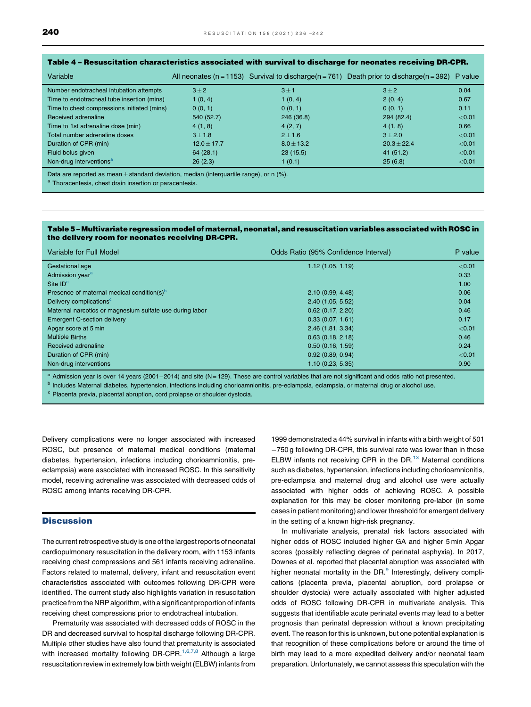| Variable                                    |                 |              | All neonates (n = 1153) Survival to discharge(n = 761) Death prior to discharge(n = 392) | P value |
|---------------------------------------------|-----------------|--------------|------------------------------------------------------------------------------------------|---------|
| Number endotracheal intubation attempts     | $3 \pm 2$       | $3 \pm 1$    | $3 \pm 2$                                                                                | 0.04    |
| Time to endotracheal tube insertion (mins)  | 1(0, 4)         | 1(0, 4)      | 2(0, 4)                                                                                  | 0.67    |
| Time to chest compressions initiated (mins) | 0(0, 1)         | 0(0, 1)      | 0(0, 1)                                                                                  | 0.11    |
| Received adrenaline                         | 540 (52.7)      | 246 (36.8)   | 294 (82.4)                                                                               | < 0.01  |
| Time to 1st adrenaline dose (min)           | 4(1, 8)         | 4(2, 7)      | 4(1, 8)                                                                                  | 0.66    |
| Total number adrenaline doses               | $3 \pm 1.8$     | $2 \pm 1.6$  | $3 + 2.0$                                                                                | < 0.01  |
| Duration of CPR (min)                       | $12.0 \pm 17.7$ | $8.0 + 13.2$ | $20.3 + 22.4$                                                                            | < 0.01  |
| Fluid bolus given                           | 64(28.1)        | 23(15.5)     | 41 (51.2)                                                                                | < 0.01  |
| Non-drug interventions <sup>a</sup>         | 26(2.3)         | 1(0.1)       | 25(6.8)                                                                                  | < 0.01  |

### <span id="page-4-0"></span>Table 4 – Resuscitation characteristics associated with survival to discharge for neonates receiving DR-CPR.

Data are reported as mean  $\pm$  standard deviation, median (interquartile range), or n (%). a Thoracentesis, chest drain insertion or paracentesis.

#### Table 5 – Multivariate regression model of maternal, neonatal, and resuscitation variables associated with ROSC in the delivery room for neonates receiving DR-CPR.

| Variable for Full Model                                  | Odds Ratio (95% Confidence Interval) | P value |
|----------------------------------------------------------|--------------------------------------|---------|
| Gestational age                                          | 1.12(1.05, 1.19)                     | < 0.01  |
| Admission year <sup>a</sup>                              |                                      | 0.33    |
| Site $IDa$                                               |                                      | 1.00    |
| Presence of maternal medical condition(s) <sup>b</sup>   | 2.10(0.99, 4.48)                     | 0.06    |
| Delivery complications <sup>c</sup>                      | 2.40(1.05, 5.52)                     | 0.04    |
| Maternal narcotics or magnesium sulfate use during labor | 0.62(0.17, 2.20)                     | 0.46    |
| <b>Emergent C-section delivery</b>                       | 0.33(0.07, 1.61)                     | 0.17    |
| Apgar score at 5 min                                     | 2.46(1.81, 3.34)                     | < 0.01  |
| <b>Multiple Births</b>                                   | 0.63(0.18, 2.18)                     | 0.46    |
| Received adrenaline                                      | 0.50(0.16, 1.59)                     | 0.24    |
| Duration of CPR (min)                                    | 0.92(0.89, 0.94)                     | < 0.01  |
| Non-drug interventions                                   | 1.10(0.23, 5.35)                     | 0.90    |

<sup>a</sup> Admission year is over 14 years (2001–2014) and site (N=129). These are control variables that are not significant and odds ratio not presented.<br><sup>b</sup> Includes Maternal diabetes, hypertension, infections including chorio

<sup>c</sup> Placenta previa, placental abruption, cord prolapse or shoulder dystocia.

Delivery complications were no longer associated with increased ROSC, but presence of maternal medical conditions (maternal diabetes, hypertension, infections including chorioamnionitis, preeclampsia) were associated with increased ROSC. In this sensitivity model, receiving adrenaline was associated with decreased odds of ROSC among infants receiving DR-CPR.

#### **Discussion**

The current retrospective study is one of the largest reports of neonatal cardiopulmonary resuscitation in the delivery room, with 1153 infants receiving chest compressions and 561 infants receiving adrenaline. Factors related to maternal, delivery, infant and resuscitation event characteristics associated with outcomes following DR-CPR were identified. The current study also highlights variation in resuscitation practice from the NRP algorithm, with a significant proportion of infants receiving chest compressions prior to endotracheal intubation.

Prematurity was associated with decreased odds of ROSC in the DR and decreased survival to hospital discharge following DR-CPR. Multiple other studies have also found that prematurity is associated with increased mortality following DR-CPR.<sup>1,6,7,8</sup> [Although](#page-6-0) a large resuscitation review in extremely low birth weight (ELBW) infants from 1999 demonstrated a 44% survival in infants with a birth weight of 501 750 g following DR-CPR, this survival rate was lower than in those ELBW infants not receiving CPR in the DR.<sup>13</sup> Maternal conditions such as diabetes, hypertension, infections including chorioamnionitis, pre-eclampsia and maternal drug and alcohol use were actually associated with higher odds of achieving ROSC. A possible explanation for this may be closer monitoring pre-labor (in some cases in patient monitoring) and lower threshold for emergent delivery in the setting of a known high-risk pregnancy.

In multivariate analysis, prenatal risk factors associated with higher odds of ROSC included higher GA and higher 5 min Apgar scores (possibly reflecting degree of perinatal asphyxia). In 2017, Downes et al. reported that placental abruption was associated with higher neonatal mortality in the DR.<sup>[9](#page-6-0)</sup> Interestingly, delivery complications (placenta previa, placental abruption, cord prolapse or shoulder dystocia) were actually associated with higher adjusted odds of ROSC following DR-CPR in multivariate analysis. This suggests that identifiable acute perinatal events may lead to a better prognosis than perinatal depression without a known precipitating event. The reason for this is unknown, but one potential explanation is that recognition of these complications before or around the time of birth may lead to a more expedited delivery and/or neonatal team preparation. Unfortunately, we cannot assess this speculation with the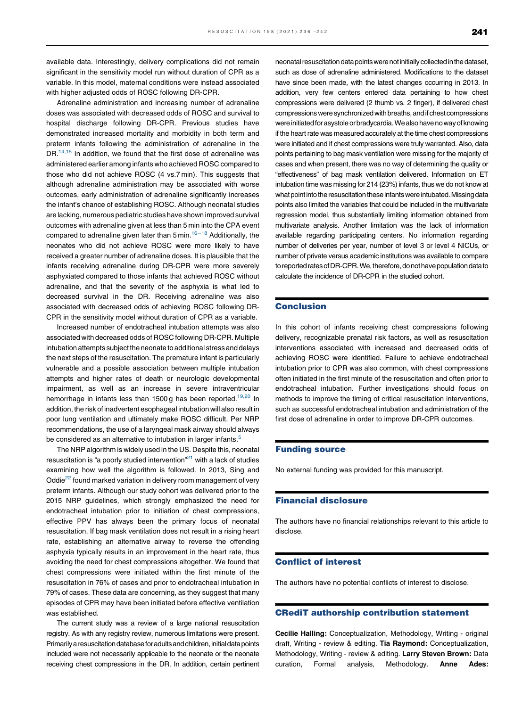available data. Interestingly, delivery complications did not remain significant in the sensitivity model run without duration of CPR as a variable. In this model, maternal conditions were instead associated with higher adjusted odds of ROSC following DR-CPR.

Adrenaline administration and increasing number of adrenaline doses was associated with decreased odds of ROSC and survival to hospital discharge following DR-CPR. Previous studies have demonstrated increased mortality and morbidity in both term and preterm infants following the administration of adrenaline in the DR.<sup>14,15</sup> In addition, we found that the first dose of [adrenaline](#page-6-0) was administered earlier among infants who achieved ROSC compared to those who did not achieve ROSC (4 vs.7 min). This suggests that although adrenaline administration may be associated with worse outcomes, early administration of adrenaline significantly increases the infant's chance of establishing ROSC. Although neonatal studies are lacking, numerous pediatric studies have shown improved survival outcomes with adrenaline given at less than 5 min into the CPA event compared to adrenaline given later than  $5$  min.<sup>16–18</sup> [Additionally,](#page-6-0) the neonates who did not achieve ROSC were more likely to have received a greater number of adrenaline doses. It is plausible that the infants receiving adrenaline during DR-CPR were more severely asphyxiated compared to those infants that achieved ROSC without adrenaline, and that the severity of the asphyxia is what led to decreased survival in the DR. Receiving adrenaline was also associated with decreased odds of achieving ROSC following DR-CPR in the sensitivity model without duration of CPR as a variable.

Increased number of endotracheal intubation attempts was also associated with decreased odds of ROSC following DR-CPR. Multiple intubation attempts subject the neonate to additional stress and delays the next steps of the resuscitation. The premature infant is particularly vulnerable and a possible association between multiple intubation attempts and higher rates of death or neurologic developmental impairment, as well as an increase in severe intraventricular hemorrhage in infants less than 1500 g has been reported.<sup>19,20</sup> In addition, the risk of inadvertent esophageal intubation will also result in poor lung ventilation and ultimately make ROSC difficult. Per NRP recommendations, the use of a laryngeal mask airway should always be considered as an alternative to intubation in larger infants.<sup>5</sup>

The NRP algorithm is widely used in the US. Despite this, neonatal resuscitation is "a poorly studied intervention"<sup>[21](#page-6-0)</sup> with a lack of studies examining how well the algorithm is followed. In 2013, Sing and Oddie<sup>22</sup> found marked variation in delivery room management of very preterm infants. Although our study cohort was delivered prior to the 2015 NRP guidelines, which strongly emphasized the need for endotracheal intubation prior to initiation of chest compressions, effective PPV has always been the primary focus of neonatal resuscitation. If bag mask ventilation does not result in a rising heart rate, establishing an alternative airway to reverse the offending asphyxia typically results in an improvement in the heart rate, thus avoiding the need for chest compressions altogether. We found that chest compressions were initiated within the first minute of the resuscitation in 76% of cases and prior to endotracheal intubation in 79% of cases. These data are concerning, as they suggest that many episodes of CPR may have been initiated before effective ventilation was established.

The current study was a review of a large national resuscitation registry. As with any registry review, numerous limitations were present. Primarily a resuscitation databaseforadults and children, initialdata points included were not necessarily applicable to the neonate or the neonate receiving chest compressions in the DR. In addition, certain pertinent neonatal resuscitation data points were not initially collected in the dataset, such as dose of adrenaline administered. Modifications to the dataset have since been made, with the latest changes occurring in 2013. In addition, very few centers entered data pertaining to how chest compressions were delivered (2 thumb vs. 2 finger), if delivered chest compressions were synchronized with breaths, and if chest compressions were initiated for asystole or bradycardia. We also have no way of knowing if the heart rate was measured accurately at the time chest compressions were initiated and if chest compressions were truly warranted. Also, data points pertaining to bag mask ventilation were missing for the majority of cases and when present, there was no way of determining the quality or "effectiveness" of bag mask ventilation delivered. Information on ET intubation time was missing for 214 (23%) infants, thus we do not know at what point into the resuscitation these infants were intubated. Missing data points also limited the variables that could be included in the multivariate regression model, thus substantially limiting information obtained from multivariate analysis. Another limitation was the lack of information available regarding participating centers. No information regarding number of deliveries per year, number of level 3 or level 4 NICUs, or number of private versus academic institutions was available to compare to reported rates of DR-CPR. We, therefore, do not have population data to calculate the incidence of DR-CPR in the studied cohort.

#### Conclusion

In this cohort of infants receiving chest compressions following delivery, recognizable prenatal risk factors, as well as resuscitation interventions associated with increased and decreased odds of achieving ROSC were identified. Failure to achieve endotracheal intubation prior to CPR was also common, with chest compressions often initiated in the first minute of the resuscitation and often prior to endotracheal intubation. Further investigations should focus on methods to improve the timing of critical resuscitation interventions, such as successful endotracheal intubation and administration of the first dose of adrenaline in order to improve DR-CPR outcomes.

#### Funding source

No external funding was provided for this manuscript.

#### Financial disclosure

The authors have no financial relationships relevant to this article to disclose.

#### Conflict of interest

The authors have no potential conflicts of interest to disclose.

#### CRediT authorship contribution statement

Cecilie Halling: Conceptualization, Methodology, Writing - original draft, Writing - review & editing. Tia Raymond: Conceptualization, Methodology, Writing - review & editing. Larry Steven Brown: Data curation, Formal analysis, Methodology. Anne Ades: